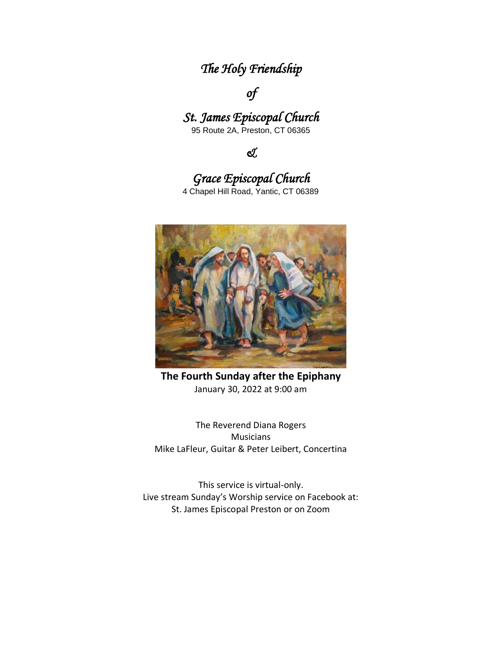## *The Holy Friendship*

# *of*

*St. James Episcopal Church*  95 Route 2A, Preston, CT 06365

## *&*

# *Grace Episcopal Church*

4 Chapel Hill Road, Yantic, CT 06389



**The Fourth Sunday after the Epiphany** January 30, 2022 at 9:00 am

The Reverend Diana Rogers Musicians Mike LaFleur, Guitar & Peter Leibert, Concertina

This service is virtual-only. Live stream Sunday's Worship service on Facebook at: St. James Episcopal Preston or on Zoom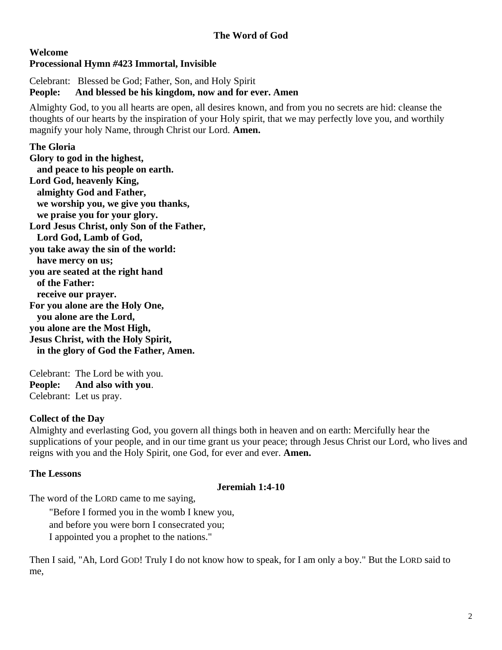**Welcome Processional Hymn** *#***423 Immortal, Invisible**

Celebrant: Blessed be God; Father, Son, and Holy Spirit **People:****And blessed be his kingdom, now and for ever. Amen**

Almighty God, to you all hearts are open, all desires known, and from you no secrets are hid: cleanse the thoughts of our hearts by the inspiration of your Holy spirit, that we may perfectly love you, and worthily magnify your holy Name, through Christ our Lord. **Amen.**

**The Gloria Glory to god in the highest, and peace to his people on earth. Lord God, heavenly King, almighty God and Father, we worship you, we give you thanks, we praise you for your glory. Lord Jesus Christ, only Son of the Father, Lord God, Lamb of God, you take away the sin of the world: have mercy on us; you are seated at the right hand of the Father: receive our prayer. For you alone are the Holy One, you alone are the Lord, you alone are the Most High, Jesus Christ, with the Holy Spirit, in the glory of God the Father, Amen.**

Celebrant: The Lord be with you. **People: And also with you**. Celebrant: Let us pray.

## **Collect of the Day**

Almighty and everlasting God, you govern all things both in heaven and on earth: Mercifully hear the supplications of your people, and in our time grant us your peace; through Jesus Christ our Lord, who lives and reigns with you and the Holy Spirit, one God, for ever and ever. **Amen.**

## **The Lessons**

## **Jeremiah 1:4-10**

The word of the LORD came to me saying,

"Before I formed you in the womb I knew you, and before you were born I consecrated you; I appointed you a prophet to the nations."

Then I said, "Ah, Lord GOD! Truly I do not know how to speak, for I am only a boy." But the LORD said to me,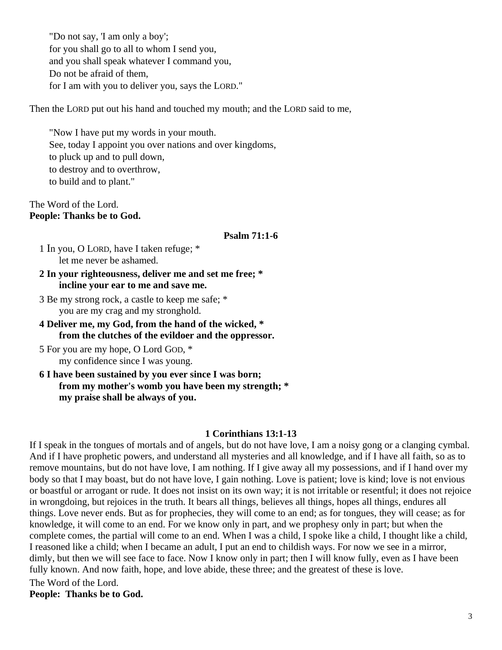"Do not say, 'I am only a boy'; for you shall go to all to whom I send you, and you shall speak whatever I command you, Do not be afraid of them, for I am with you to deliver you, says the LORD."

Then the LORD put out his hand and touched my mouth; and the LORD said to me,

"Now I have put my words in your mouth. See, today I appoint you over nations and over kingdoms, to pluck up and to pull down, to destroy and to overthrow, to build and to plant."

The Word of the Lord. **People: Thanks be to God.** 

#### **Psalm 71:1-6**

1 In you, O LORD, have I taken refuge; \* let me never be ashamed.

- **2 In your righteousness, deliver me and set me free; \* incline your ear to me and save me.**
- 3 Be my strong rock, a castle to keep me safe; \* you are my crag and my stronghold.
- **4 Deliver me, my God, from the hand of the wicked, \* from the clutches of the evildoer and the oppressor.**
- 5 For you are my hope, O Lord GOD, \* my confidence since I was young.
- **6 I have been sustained by you ever since I was born; from my mother's womb you have been my strength; \* my praise shall be always of you.**

#### **1 Corinthians 13:1-13**

If I speak in the tongues of mortals and of angels, but do not have love, I am a noisy gong or a clanging cymbal. And if I have prophetic powers, and understand all mysteries and all knowledge, and if I have all faith, so as to remove mountains, but do not have love, I am nothing. If I give away all my possessions, and if I hand over my body so that I may boast, but do not have love, I gain nothing. Love is patient; love is kind; love is not envious or boastful or arrogant or rude. It does not insist on its own way; it is not irritable or resentful; it does not rejoice in wrongdoing, but rejoices in the truth. It bears all things, believes all things, hopes all things, endures all things. Love never ends. But as for prophecies, they will come to an end; as for tongues, they will cease; as for knowledge, it will come to an end. For we know only in part, and we prophesy only in part; but when the complete comes, the partial will come to an end. When I was a child, I spoke like a child, I thought like a child, I reasoned like a child; when I became an adult, I put an end to childish ways. For now we see in a mirror, dimly, but then we will see face to face. Now I know only in part; then I will know fully, even as I have been fully known. And now faith, hope, and love abide, these three; and the greatest of these is love.

The Word of the Lord.

**People: Thanks be to God.**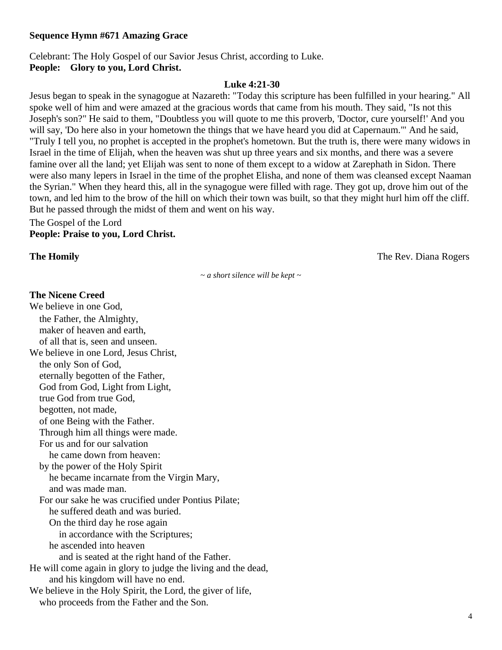#### **Sequence Hymn #671 Amazing Grace**

Celebrant: The Holy Gospel of our Savior Jesus Christ, according to Luke. **People: Glory to you, Lord Christ.**

#### **Luke 4:21-30**

Jesus began to speak in the synagogue at Nazareth: "Today this scripture has been fulfilled in your hearing." All spoke well of him and were amazed at the gracious words that came from his mouth. They said, "Is not this Joseph's son?" He said to them, "Doubtless you will quote to me this proverb, 'Doctor, cure yourself!' And you will say, 'Do here also in your hometown the things that we have heard you did at Capernaum.'" And he said, "Truly I tell you, no prophet is accepted in the prophet's hometown. But the truth is, there were many widows in Israel in the time of Elijah, when the heaven was shut up three years and six months, and there was a severe famine over all the land; yet Elijah was sent to none of them except to a widow at Zarephath in Sidon. There were also many lepers in Israel in the time of the prophet Elisha, and none of them was cleansed except Naaman the Syrian." When they heard this, all in the synagogue were filled with rage. They got up, drove him out of the town, and led him to the brow of the hill on which their town was built, so that they might hurl him off the cliff. But he passed through the midst of them and went on his way.

The Gospel of the Lord **People: Praise to you, Lord Christ.**

~ *a short silence will be kept* ~

**The Homily** The Rev. Diana Rogers

#### **The Nicene Creed**

We believe in one God, the Father, the Almighty, maker of heaven and earth, of all that is, seen and unseen. We believe in one Lord, Jesus Christ, the only Son of God, eternally begotten of the Father, God from God, Light from Light, true God from true God, begotten, not made, of one Being with the Father. Through him all things were made. For us and for our salvation he came down from heaven: by the power of the Holy Spirit he became incarnate from the Virgin Mary, and was made man. For our sake he was crucified under Pontius Pilate; he suffered death and was buried. On the third day he rose again in accordance with the Scriptures; he ascended into heaven and is seated at the right hand of the Father. He will come again in glory to judge the living and the dead, and his kingdom will have no end. We believe in the Holy Spirit, the Lord, the giver of life, who proceeds from the Father and the Son.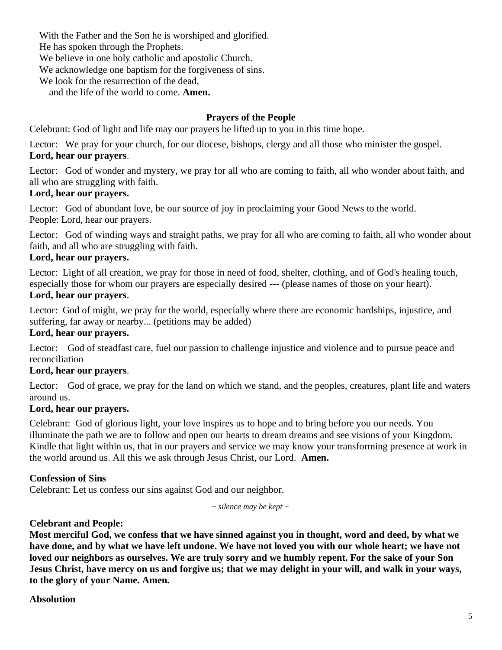With the Father and the Son he is worshiped and glorified.

He has spoken through the Prophets.

We believe in one holy catholic and apostolic Church.

We acknowledge one baptism for the forgiveness of sins.

We look for the resurrection of the dead,

and the life of the world to come. **Amen.**

## **Prayers of the People**

Celebrant: God of light and life may our prayers be lifted up to you in this time hope.

Lector: We pray for your church, for our diocese, bishops, clergy and all those who minister the gospel.

## **Lord, hear our prayers**.

Lector: God of wonder and mystery, we pray for all who are coming to faith, all who wonder about faith, and all who are struggling with faith.

## **Lord, hear our prayers.**

Lector: God of abundant love, be our source of joy in proclaiming your Good News to the world. People: Lord, hear our prayers.

Lector: God of winding ways and straight paths, we pray for all who are coming to faith, all who wonder about faith, and all who are struggling with faith.

## **Lord, hear our prayers.**

Lector: Light of all creation, we pray for those in need of food, shelter, clothing, and of God's healing touch, especially those for whom our prayers are especially desired --- (please names of those on your heart).

## **Lord, hear our prayers**.

Lector: God of might, we pray for the world, especially where there are economic hardships, injustice, and suffering, far away or nearby... (petitions may be added)

## **Lord, hear our prayers.**

Lector: God of steadfast care, fuel our passion to challenge injustice and violence and to pursue peace and reconciliation

## **Lord, hear our prayers**.

Lector: God of grace, we pray for the land on which we stand, and the peoples, creatures, plant life and waters around us.

## **Lord, hear our prayers.**

Celebrant: God of glorious light, your love inspires us to hope and to bring before you our needs. You illuminate the path we are to follow and open our hearts to dream dreams and see visions of your Kingdom. Kindle that light within us, that in our prayers and service we may know your transforming presence at work in the world around us. All this we ask through Jesus Christ, our Lord. **Amen.**

## **Confession of Sins**

Celebrant: Let us confess our sins against God and our neighbor.

*~ silence may be kept ~*

## **Celebrant and People:**

**Most merciful God, we confess that we have sinned against you in thought, word and deed, by what we have done, and by what we have left undone. We have not loved you with our whole heart; we have not loved our neighbors as ourselves. We are truly sorry and we humbly repent. For the sake of your Son Jesus Christ, have mercy on us and forgive us; that we may delight in your will, and walk in your ways, to the glory of your Name. Amen***.*

## **Absolution**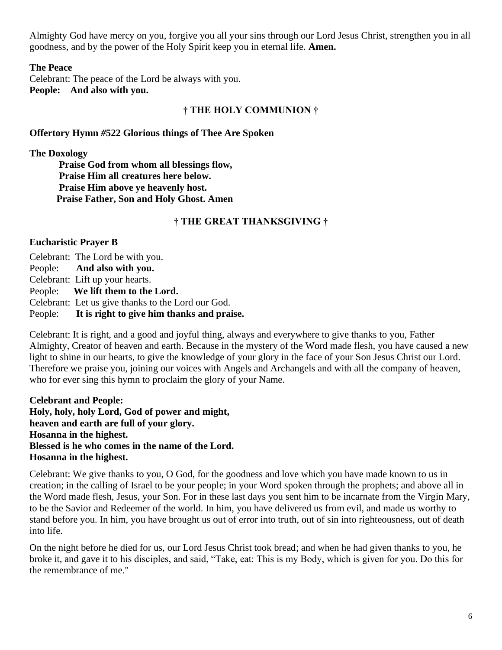Almighty God have mercy on you, forgive you all your sins through our Lord Jesus Christ, strengthen you in all goodness, and by the power of the Holy Spirit keep you in eternal life. **Amen.**

## **The Peace**

Celebrant: The peace of the Lord be always with you. **People: And also with you.** 

#### **† THE HOLY COMMUNION †**

**Offertory Hymn** *#***522 Glorious things of Thee Are Spoken**

**The Doxology Praise God from whom all blessings flow, Praise Him all creatures here below. Praise Him above ye heavenly host. Praise Father, Son and Holy Ghost. Amen**

#### **† THE GREAT THANKSGIVING †**

#### **Eucharistic Prayer B**

Celebrant: The Lord be with you. People: **And also with you.** Celebrant: Lift up your hearts. People: **We lift them to the Lord.** Celebrant: Let us give thanks to the Lord our God. People: **It is right to give him thanks and praise.**

Celebrant: It is right, and a good and joyful thing, always and everywhere to give thanks to you, Father Almighty, Creator of heaven and earth. Because in the mystery of the Word made flesh, you have caused a new light to shine in our hearts, to give the knowledge of your glory in the face of your Son Jesus Christ our Lord. Therefore we praise you, joining our voices with Angels and Archangels and with all the company of heaven, who for ever sing this hymn to proclaim the glory of your Name.

**Celebrant and People: Holy, holy, holy Lord, God of power and might, heaven and earth are full of your glory. Hosanna in the highest. Blessed is he who comes in the name of the Lord. Hosanna in the highest.** 

Celebrant: We give thanks to you, O God, for the goodness and love which you have made known to us in creation; in the calling of Israel to be your people; in your Word spoken through the prophets; and above all in the Word made flesh, Jesus, your Son. For in these last days you sent him to be incarnate from the Virgin Mary, to be the Savior and Redeemer of the world. In him, you have delivered us from evil, and made us worthy to stand before you. In him, you have brought us out of error into truth, out of sin into righteousness, out of death into life.

On the night before he died for us, our Lord Jesus Christ took bread; and when he had given thanks to you, he broke it, and gave it to his disciples, and said, "Take, eat: This is my Body, which is given for you. Do this for the remembrance of me."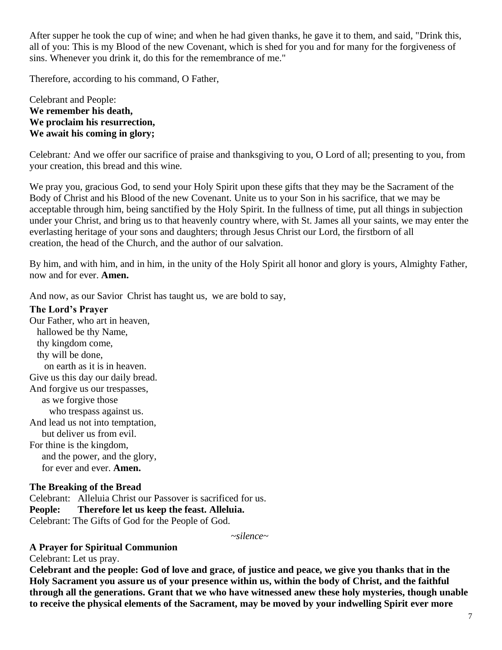After supper he took the cup of wine; and when he had given thanks, he gave it to them, and said, "Drink this, all of you: This is my Blood of the new Covenant, which is shed for you and for many for the forgiveness of sins. Whenever you drink it, do this for the remembrance of me."

Therefore, according to his command, O Father,

Celebrant and People: **We remember his death, We proclaim his resurrection, We await his coming in glory;**

Celebrant*:* And we offer our sacrifice of praise and thanksgiving to you, O Lord of all; presenting to you, from your creation, this bread and this wine.

We pray you, gracious God, to send your Holy Spirit upon these gifts that they may be the Sacrament of the Body of Christ and his Blood of the new Covenant. Unite us to your Son in his sacrifice, that we may be acceptable through him, being sanctified by the Holy Spirit. In the fullness of time, put all things in subjection under your Christ, and bring us to that heavenly country where, with St. James all your saints, we may enter the everlasting heritage of your sons and daughters; through Jesus Christ our Lord, the firstborn of all creation, the head of the Church, and the author of our salvation.

By him, and with him, and in him, in the unity of the Holy Spirit all honor and glory is yours, Almighty Father, now and for ever. **Amen.**

And now, as our Savior Christ has taught us, we are bold to say,

#### **The Lord's Prayer**

Our Father, who art in heaven, hallowed be thy Name, thy kingdom come, thy will be done, on earth as it is in heaven. Give us this day our daily bread. And forgive us our trespasses, as we forgive those who trespass against us. And lead us not into temptation, but deliver us from evil. For thine is the kingdom, and the power, and the glory, for ever and ever. **Amen.**

#### **The Breaking of the Bread**

Celebrant: Alleluia Christ our Passover is sacrificed for us. **People: Therefore let us keep the feast. Alleluia.** Celebrant: The Gifts of God for the People of God.

*~silence~*

#### **A Prayer for Spiritual Communion**

Celebrant: Let us pray.

**Celebrant and the people: God of love and grace, of justice and peace, we give you thanks that in the Holy Sacrament you assure us of your presence within us, within the body of Christ, and the faithful through all the generations. Grant that we who have witnessed anew these holy mysteries, though unable to receive the physical elements of the Sacrament, may be moved by your indwelling Spirit ever more**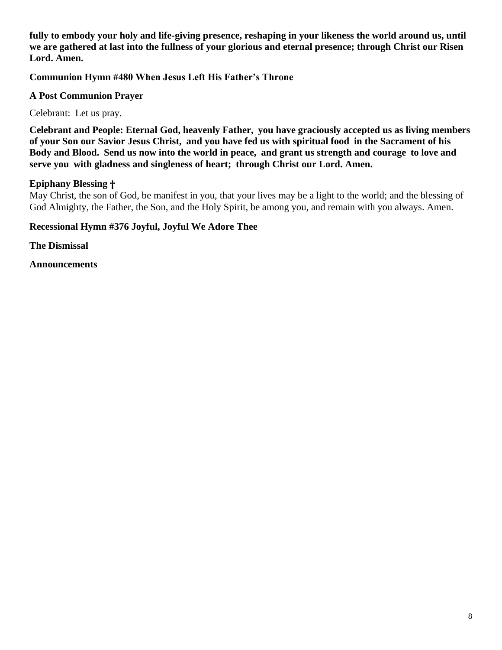**fully to embody your holy and life-giving presence, reshaping in your likeness the world around us, until we are gathered at last into the fullness of your glorious and eternal presence; through Christ our Risen Lord. Amen.** 

**Communion Hymn #480 When Jesus Left His Father's Throne**

**A Post Communion Prayer** 

Celebrant: Let us pray.

**Celebrant and People: Eternal God, heavenly Father, you have graciously accepted us as living members of your Son our Savior Jesus Christ, and you have fed us with spiritual food in the Sacrament of his Body and Blood. Send us now into the world in peace, and grant us strength and courage to love and serve you with gladness and singleness of heart; through Christ our Lord. Amen.**

## **Epiphany Blessing †**

May Christ, the son of God, be manifest in you, that your lives may be a light to the world; and the blessing of God Almighty, the Father, the Son, and the Holy Spirit, be among you, and remain with you always. Amen.

**Recessional Hymn #376 Joyful, Joyful We Adore Thee**

**The Dismissal**

**Announcements**